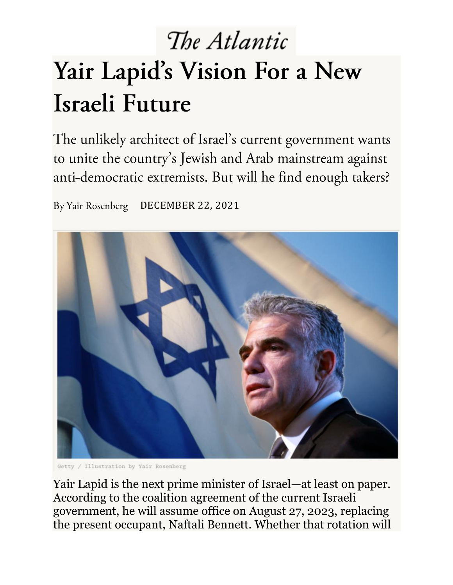## The Atlantic Yair Lapid's Vision For a New Israeli Future

The unlikely architect of Israel's current government wants to unite the country's Jewish and Arab mainstream against anti-democratic extremists. But will he find enough takers?

By Yair Rosenberg DECEMBER 22, 2021



Getty / Illustration by Yair Rosenberg

Yair Lapid is the next prime minister of Israel—at least on paper. According to the coalition agreement of the current Israeli government, he will assume office on August 27, 2023, replacing the present occupant, Naftali Bennett. Whether that rotation will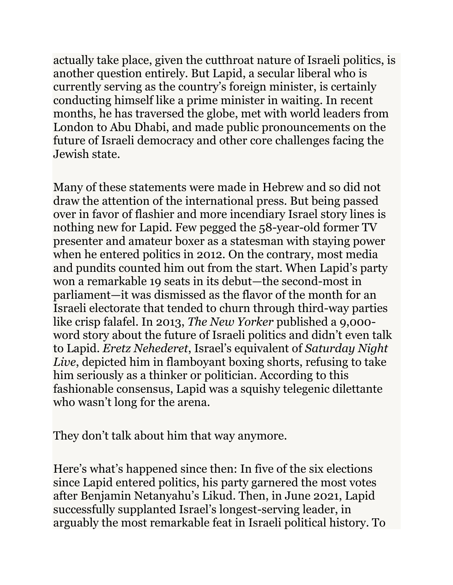actually take place, given the cutthroat nature of Israeli politics, is another question entirely. But Lapid, a secular liberal who is currently serving as the country's foreign minister, is certainly conducting himself like a prime minister in waiting. In recent months, he has traversed the globe, met with world leaders from London to Abu Dhabi, and made public pronouncements on the future of Israeli democracy and other core challenges facing the Jewish state.

Many of these statements were made in Hebrew and so did not draw the attention of the international press. But being passed over in favor of flashier and more incendiary Israel story lines is nothing new for Lapid. Few pegged the 58-year-old former TV presenter and amateur boxer as a statesman with staying power when he entered politics in 2012. On the contrary, most media and pundits counted him out from the start. When Lapid's party won a remarkable 19 seats in its debut—the second-most in parliament—it was dismissed as the flavor of the month for an Israeli electorate that tended to churn through third-way parties like crisp falafel. In 2013, *The New Yorker* published a 9,000 word story about the future of Israeli politics and didn't even talk to Lapid. *Eretz Nehederet*, Israel's equivalent of *Saturday Night Live*, depicted him in flamboyant boxing shorts, refusing to take him seriously as a thinker or politician. According to this fashionable consensus, Lapid was a squishy telegenic dilettante who wasn't long for the arena.

They don't talk about him that way anymore.

Here's what's happened since then: In five of the six elections since Lapid entered politics, his party garnered the most votes after Benjamin Netanyahu's Likud. Then, in June 2021, Lapid successfully supplanted Israel's longest-serving leader, in arguably the most remarkable feat in Israeli political history. To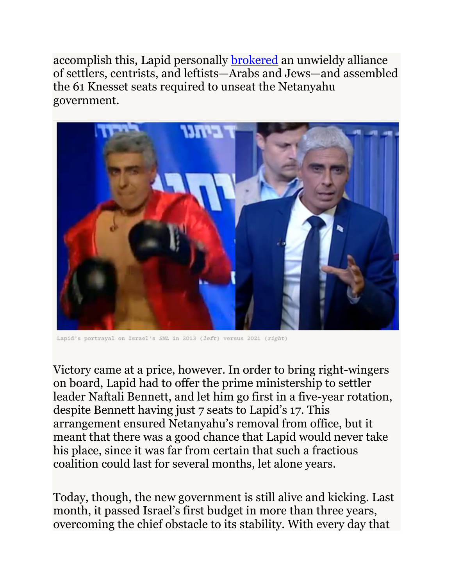accomplish this, Lapid personally [brokered](https://www.tabletmag.com/sections/israel-middle-east/articles/israel-new-government-netanyahu-explained) an unwieldy alliance of settlers, centrists, and leftists—Arabs and Jews—and assembled the 61 Knesset seats required to unseat the Netanyahu government.



Lapid's portrayal on Israel's SNL in 2013 (left) versus 2021 (right)

Victory came at a price, however. In order to bring right-wingers on board, Lapid had to offer the prime ministership to settler leader Naftali Bennett, and let him go first in a five-year rotation, despite Bennett having just 7 seats to Lapid's 17. This arrangement ensured Netanyahu's removal from office, but it meant that there was a good chance that Lapid would never take his place, since it was far from certain that such a fractious coalition could last for several months, let alone years.

Today, though, the new government is still alive and kicking. Last month, it passed Israel's first budget in more than three years, overcoming the chief obstacle to its stability. With every day that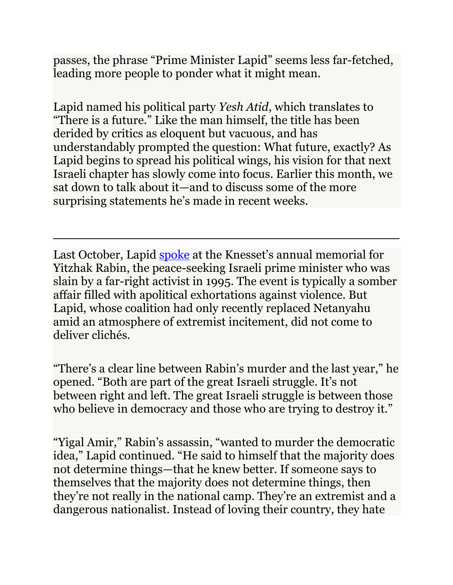passes, the phrase "Prime Minister Lapid" seems less far-fetched, leading more people to ponder what it might mean.

Lapid named his political party *Yesh Atid*, which translates to "There is a future." Like the man himself, the title has been derided by critics as eloquent but vacuous, and has understandably prompted the question: What future, exactly? As Lapid begins to spread his political wings, his vision for that next Israeli chapter has slowly come into focus. Earlier this month, we sat down to talk about it—and to discuss some of the more surprising statements he's made in recent weeks.

Last October, Lapid [spoke](https://www.youtube.com/watch?v=wrx28-Y-CtU?cc_load_policy=1) at the Knesset's annual memorial for Yitzhak Rabin, the peace-seeking Israeli prime minister who was slain by a far-right activist in 1995. The event is typically a somber affair filled with apolitical exhortations against violence. But Lapid, whose coalition had only recently replaced Netanyahu amid an atmosphere of extremist incitement, did not come to deliver clichés.

"There's a clear line between Rabin's murder and the last year," he opened. "Both are part of the great Israeli struggle. It's not between right and left. The great Israeli struggle is between those who believe in democracy and those who are trying to destroy it."

"Yigal Amir," Rabin's assassin, "wanted to murder the democratic idea," Lapid continued. "He said to himself that the majority does not determine things—that he knew better. If someone says to themselves that the majority does not determine things, then they're not really in the national camp. They're an extremist and a dangerous nationalist. Instead of loving their country, they hate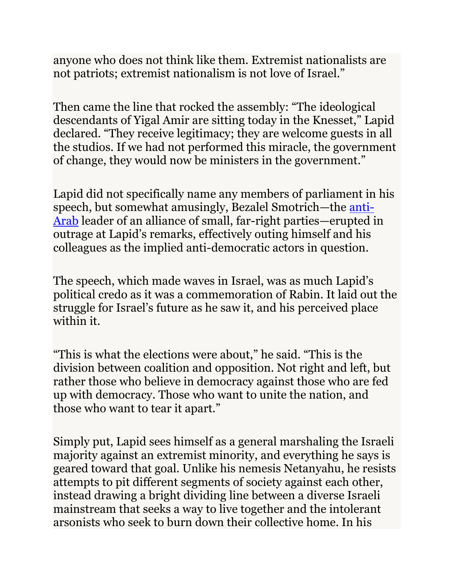anyone who does not think like them. Extremist nationalists are not patriots; extremist nationalism is not love of Israel."

Then came the line that rocked the assembly: "The ideological descendants of Yigal Amir are sitting today in the Knesset," Lapid declared. "They receive legitimacy; they are welcome guests in all the studios. If we had not performed this miracle, the government of change, they would now be ministers in the government."

Lapid did not specifically name any members of parliament in his speech, but somewhat amusingly, Bezalel Smotrich—the [anti-](https://www.timesofisrael.com/smotrich-at-knesset-ben-gurion-should-have-finished-the-job-thrown-out-arabs/)[Arab](https://www.timesofisrael.com/smotrich-at-knesset-ben-gurion-should-have-finished-the-job-thrown-out-arabs/) leader of an alliance of small, far-right parties—erupted in outrage at Lapid's remarks, effectively outing himself and his colleagues as the implied anti-democratic actors in question.

The speech, which made waves in Israel, was as much Lapid's political credo as it was a commemoration of Rabin. It laid out the struggle for Israel's future as he saw it, and his perceived place within it.

"This is what the elections were about," he said. "This is the division between coalition and opposition. Not right and left, but rather those who believe in democracy against those who are fed up with democracy. Those who want to unite the nation, and those who want to tear it apart."

Simply put, Lapid sees himself as a general marshaling the Israeli majority against an extremist minority, and everything he says is geared toward that goal. Unlike his nemesis Netanyahu, he resists attempts to pit different segments of society against each other, instead drawing a bright dividing line between a diverse Israeli mainstream that seeks a way to live together and the intolerant arsonists who seek to burn down their collective home. In his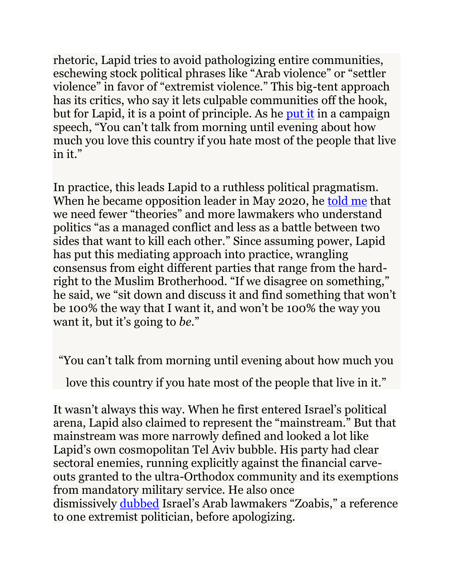rhetoric, Lapid tries to avoid pathologizing entire communities, eschewing stock political phrases like "Arab violence" or "settler violence" in favor of "extremist violence." This big-tent approach has its critics, who say it lets culpable communities off the hook, but for Lapid, it is a point of principle. As he [put it](https://www.youtube.com/watch?v=gFnK0Y2YyMY) in a campaign speech, "You can't talk from morning until evening about how much you love this country if you hate most of the people that live in it."

In practice, this leads Lapid to a ruthless political pragmatism. When he became opposition leader in May 2020, he [told me](https://www.tabletmag.com/sections/israel-middle-east/articles/yair-lapid-interview-may-2020) that we need fewer "theories" and more lawmakers who understand politics "as a managed conflict and less as a battle between two sides that want to kill each other." Since assuming power, Lapid has put this mediating approach into practice, wrangling consensus from eight different parties that range from the hardright to the Muslim Brotherhood. "If we disagree on something," he said, we "sit down and discuss it and find something that won't be 100% the way that I want it, and won't be 100% the way you want it, but it's going to *be*."

"You can't talk from morning until evening about how much you

love this country if you hate most of the people that live in it."

It wasn't always this way. When he first entered Israel's political arena, Lapid also claimed to represent the "mainstream." But that mainstream was more narrowly defined and looked a lot like Lapid's own cosmopolitan Tel Aviv bubble. His party had clear sectoral enemies, running explicitly against the financial carveouts granted to the ultra-Orthodox community and its exemptions from mandatory military service. He also once dismissively [dubbed](https://www.jpost.com/diplomacy-and-politics/lapid-apologizes-for-calling-arab-mks-zoabis) Israel's Arab lawmakers "Zoabis," a reference to one extremist politician, before apologizing.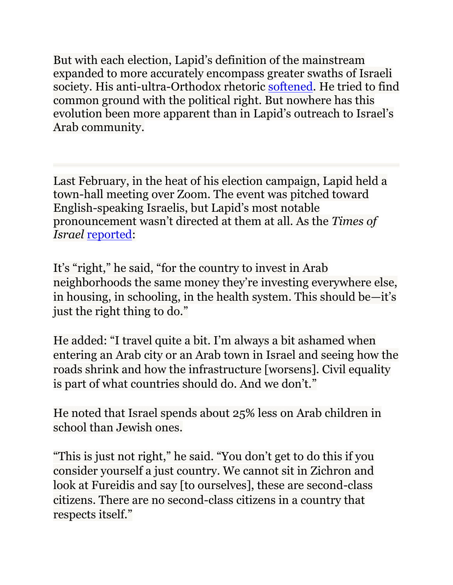But with each election, Lapid's definition of the mainstream expanded to more accurately encompass greater swaths of Israeli society. His anti-ultra-Orthodox rhetoric [softened.](https://www.youtube.com/watch?v=Yo0Pmzpe9lA) He tried to find common ground with the political right. But nowhere has this evolution been more apparent than in Lapid's outreach to Israel's Arab community.

Last February, in the heat of his election campaign, Lapid held a town-hall meeting over Zoom. The event was pitched toward English-speaking Israelis, but Lapid's most notable pronouncement wasn't directed at them at all. As the *Times of Israel* [reported:](https://www.timesofisrael.com/as-arab-consensus-splinters-wangling-for-communitys-vote-sparks-hard-questions/)

It's "right," he said, "for the country to invest in Arab neighborhoods the same money they're investing everywhere else, in housing, in schooling, in the health system. This should be—it's just the right thing to do."

He added: "I travel quite a bit. I'm always a bit ashamed when entering an Arab city or an Arab town in Israel and seeing how the roads shrink and how the infrastructure [worsens]. Civil equality is part of what countries should do. And we don't."

He noted that Israel spends about 25% less on Arab children in school than Jewish ones.

"This is just not right," he said. "You don't get to do this if you consider yourself a just country. We cannot sit in Zichron and look at Fureidis and say [to ourselves], these are second-class citizens. There are no second-class citizens in a country that respects itself."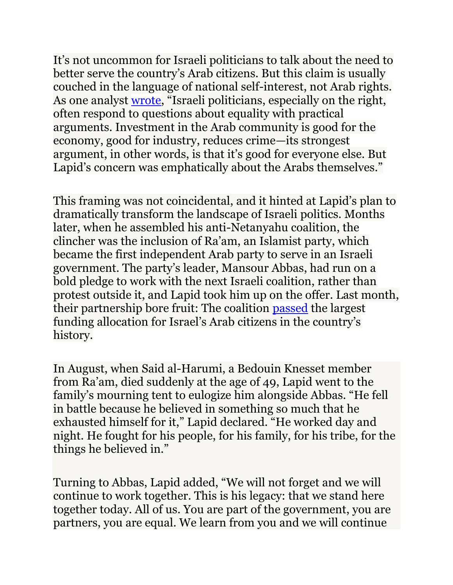It's not uncommon for Israeli politicians to talk about the need to better serve the country's Arab citizens. But this claim is usually couched in the language of national self-interest, not Arab rights. As one analyst [wrote](https://www.timesofisrael.com/as-arab-consensus-splinters-wangling-for-communitys-vote-sparks-hard-questions/), "Israeli politicians, especially on the right, often respond to questions about equality with practical arguments. Investment in the Arab community is good for the economy, good for industry, reduces crime—its strongest argument, in other words, is that it's good for everyone else. But Lapid's concern was emphatically about the Arabs themselves."

This framing was not coincidental, and it hinted at Lapid's plan to dramatically transform the landscape of Israeli politics. Months later, when he assembled his anti-Netanyahu coalition, the clincher was the inclusion of Ra'am, an Islamist party, which became the first independent Arab party to serve in an Israeli government. The party's leader, Mansour Abbas, had run on a bold pledge to work with the next Israeli coalition, rather than protest outside it, and Lapid took him up on the offer. Last month, their partnership bore fruit: The coalition [passed](https://www.timesofisrael.com/knesset-approves-key-funding-bill-begins-debating-2022-state-budget/) the largest funding allocation for Israel's Arab citizens in the country's history.

In August, when Said al-Harumi, a Bedouin Knesset member from Ra'am, died suddenly at the age of 49, Lapid went to the family's mourning tent to eulogize him alongside Abbas. "He fell in battle because he believed in something so much that he exhausted himself for it," Lapid declared. "He worked day and night. He fought for his people, for his family, for his tribe, for the things he believed in."

Turning to Abbas, Lapid added, "We will not forget and we will continue to work together. This is his legacy: that we stand here together today. All of us. You are part of the government, you are partners, you are equal. We learn from you and we will continue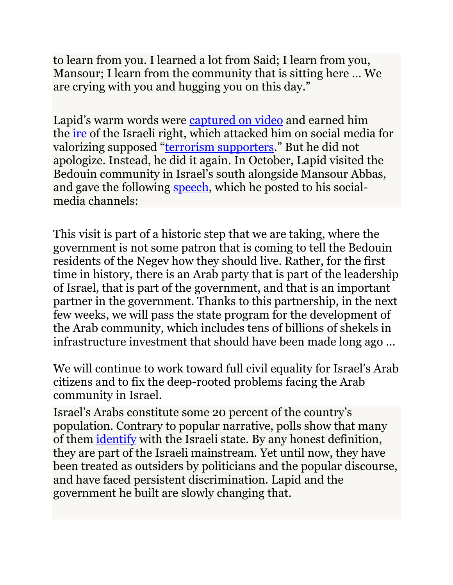to learn from you. I learned a lot from Said; I learn from you, Mansour; I learn from the community that is sitting here … We are crying with you and hugging you on this day."

Lapid's warm words were [captured on](https://www.youtube.com/watch?v=lVJfs5phsac) video and earned him the [ire](https://www.srugim.co.il/594412-%D7%A1%D7%A2%D7%A8%D7%94-%D7%91%D7%A2%D7%A7%D7%91%D7%95%D7%AA-%D7%94%D7%94%D7%A1%D7%A4%D7%93-%D7%A9%D7%9C-%D7%99%D7%90%D7%99%D7%A8-%D7%9C%D7%A4%D7%99%D7%93-%D7%9C%D7%90%D7%9C%D7%97%D7%A8%D7%95%D7%9E) of the Israeli right, which attacked him on social media for valorizing supposed "[terrorism supporters](https://twitter.com/riklin10/status/1430868507487506433)." But he did not apologize. Instead, he did it again. In October, Lapid visited the Bedouin community in Israel's south alongside Mansour Abbas, and gave the following [speech,](https://www.youtube.com/watch?v=Wt87aCgfqVE) which he posted to his socialmedia channels:

This visit is part of a historic step that we are taking, where the government is not some patron that is coming to tell the Bedouin residents of the Negev how they should live. Rather, for the first time in history, there is an Arab party that is part of the leadership of Israel, that is part of the government, and that is an important partner in the government. Thanks to this partnership, in the next few weeks, we will pass the state program for the development of the Arab community, which includes tens of billions of shekels in infrastructure investment that should have been made long ago …

We will continue to work toward full civil equality for Israel's Arab citizens and to fix the deep-rooted problems facing the Arab community in Israel.

Israel's Arabs constitute some 20 percent of the country's population. Contrary to popular narrative, polls show that many of them [identify](https://newsletters.theatlantic.com/deep-shtetl/61b8eb564dbd460022dd67ac/israels-version-of-the-latinx-question/) with the Israeli state. By any honest definition, they are part of the Israeli mainstream. Yet until now, they have been treated as outsiders by politicians and the popular discourse, and have faced persistent discrimination. Lapid and the government he built are slowly changing that.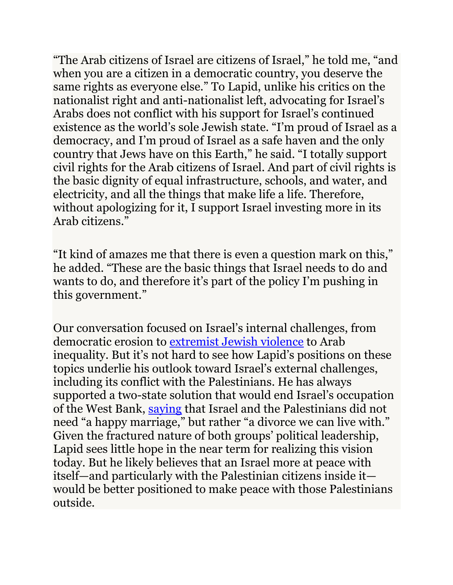"The Arab citizens of Israel are citizens of Israel," he told me, "and when you are a citizen in a democratic country, you deserve the same rights as everyone else." To Lapid, unlike his critics on the nationalist right and anti-nationalist left, advocating for Israel's Arabs does not conflict with his support for Israel's continued existence as the world's sole Jewish state. "I'm proud of Israel as a democracy, and I'm proud of Israel as a safe haven and the only country that Jews have on this Earth," he said. "I totally support civil rights for the Arab citizens of Israel. And part of civil rights is the basic dignity of equal infrastructure, schools, and water, and electricity, and all the things that make life a life. Therefore, without apologizing for it, I support Israel investing more in its Arab citizens<sup>"</sup>

"It kind of amazes me that there is even a question mark on this," he added. "These are the basic things that Israel needs to do and wants to do, and therefore it's part of the policy I'm pushing in this government."

Our conversation focused on Israel's internal challenges, from democratic erosion to [extremist Jewish violence](https://www.theatlantic.com/ideas/archive/2021/12/yair-lapid-israel-interview/621018/) to Arab inequality. But it's not hard to see how Lapid's positions on these topics underlie his outlook toward Israel's external challenges, including its conflict with the Palestinians. He has always supported a two-state solution that would end Israel's occupation of the West Bank, [saying](https://www.timesofisrael.com/yair-lapid-calls-for-talks-with-palestinians-in-partys-foreign-policy-speech/) that Israel and the Palestinians did not need "a happy marriage," but rather "a divorce we can live with." Given the fractured nature of both groups' political leadership, Lapid sees little hope in the near term for realizing this vision today. But he likely believes that an Israel more at peace with itself—and particularly with the Palestinian citizens inside it would be better positioned to make peace with those Palestinians outside.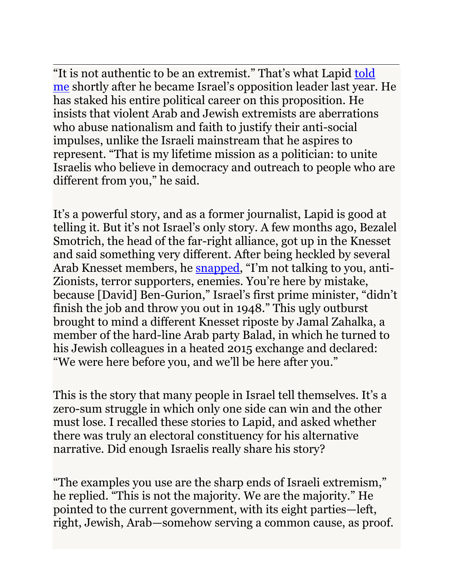"It is not authentic to be an extremist." That's what Lapid [told](https://www.tabletmag.com/sections/israel-middle-east/articles/yair-lapid-interview-may-2020)  [me](https://www.tabletmag.com/sections/israel-middle-east/articles/yair-lapid-interview-may-2020) shortly after he became Israel's opposition leader last year. He has staked his entire political career on this proposition. He insists that violent Arab and Jewish extremists are aberrations who abuse nationalism and faith to justify their anti-social impulses, unlike the Israeli mainstream that he aspires to represent. "That is my lifetime mission as a politician: to unite Israelis who believe in democracy and outreach to people who are different from you," he said.

It's a powerful story, and as a former journalist, Lapid is good at telling it. But it's not Israel's only story. A few months ago, Bezalel Smotrich, the head of the far-right alliance, got up in the Knesset and said something very different. After being heckled by several Arab Knesset members, he [snapped](https://www.srugim.co.il/607253-%D7%A1%D7%9E%D7%95%D7%98%D7%A8%D7%99%D7%A5-%D7%90%D7%AA%D7%9D-%D7%A4%D7%94-%D7%9B%D7%99-%D7%91%D7%9F-%D7%92%D7%95%D7%A8%D7%99%D7%95%D7%9F-%D7%9C%D7%90-%D7%92%D7%9E%D7%A8-%D7%90%D7%AA-%D7%94%D7%A2), "I'm not talking to you, anti-Zionists, terror supporters, enemies. You're here by mistake, because [David] Ben-Gurion," Israel's first prime minister, "didn't finish the job and throw you out in 1948." This ugly outburst brought to mind a different Knesset riposte by Jamal Zahalka, a member of the hard-line Arab party Balad, in which he turned to his Jewish colleagues in a heated 2015 exchange and declared: "We were here before you, and we'll be here after you."

This is the story that many people in Israel tell themselves. It's a zero-sum struggle in which only one side can win and the other must lose. I recalled these stories to Lapid, and asked whether there was truly an electoral constituency for his alternative narrative. Did enough Israelis really share his story?

"The examples you use are the sharp ends of Israeli extremism," he replied. "This is not the majority. We are the majority." He pointed to the current government, with its eight parties—left, right, Jewish, Arab—somehow serving a common cause, as proof.